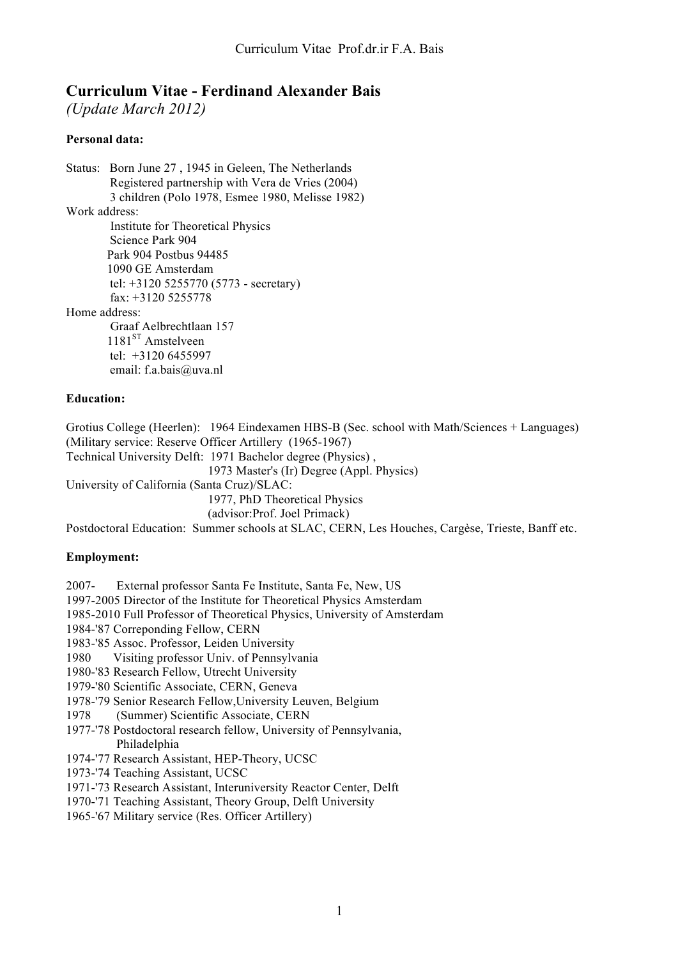# **Curriculum Vitae - Ferdinand Alexander Bais**

*(Update March 2012)*

# **Personal data:**

Status: Born June 27 , 1945 in Geleen, The Netherlands Registered partnership with Vera de Vries (2004) 3 children (Polo 1978, Esmee 1980, Melisse 1982) Work address: Institute for Theoretical Physics Science Park 904 Park 904 Postbus 94485 1090 GE Amsterdam tel: +3120 5255770 (5773 - secretary) fax: +3120 5255778 Home address: Graaf Aelbrechtlaan 157 1181<sup>ST</sup> Amstelveen tel: +3120 6455997 email: f.a.bais@uva.nl **Education:**

Grotius College (Heerlen): 1964 Eindexamen HBS-B (Sec. school with Math/Sciences + Languages) (Military service: Reserve Officer Artillery (1965-1967) Technical University Delft: 1971 Bachelor degree (Physics) , 1973 Master's (Ir) Degree (Appl. Physics) University of California (Santa Cruz)/SLAC: 1977, PhD Theoretical Physics (advisor:Prof. Joel Primack) Postdoctoral Education: Summer schools at SLAC, CERN, Les Houches, Cargèse, Trieste, Banff etc.

# **Employment:**

2007- External professor Santa Fe Institute, Santa Fe, New, US

1997-2005 Director of the Institute for Theoretical Physics Amsterdam

1985-2010 Full Professor of Theoretical Physics, University of Amsterdam

1984-'87 Correponding Fellow, CERN

1983-'85 Assoc. Professor, Leiden University

1980 Visiting professor Univ. of Pennsylvania

1980-'83 Research Fellow, Utrecht University

1979-'80 Scientific Associate, CERN, Geneva

1978-'79 Senior Research Fellow,University Leuven, Belgium

1978 (Summer) Scientific Associate, CERN

1977-'78 Postdoctoral research fellow, University of Pennsylvania, Philadelphia

1974-'77 Research Assistant, HEP-Theory, UCSC

1973-'74 Teaching Assistant, UCSC

1971-'73 Research Assistant, Interuniversity Reactor Center, Delft

1970-'71 Teaching Assistant, Theory Group, Delft University

1965-'67 Military service (Res. Officer Artillery)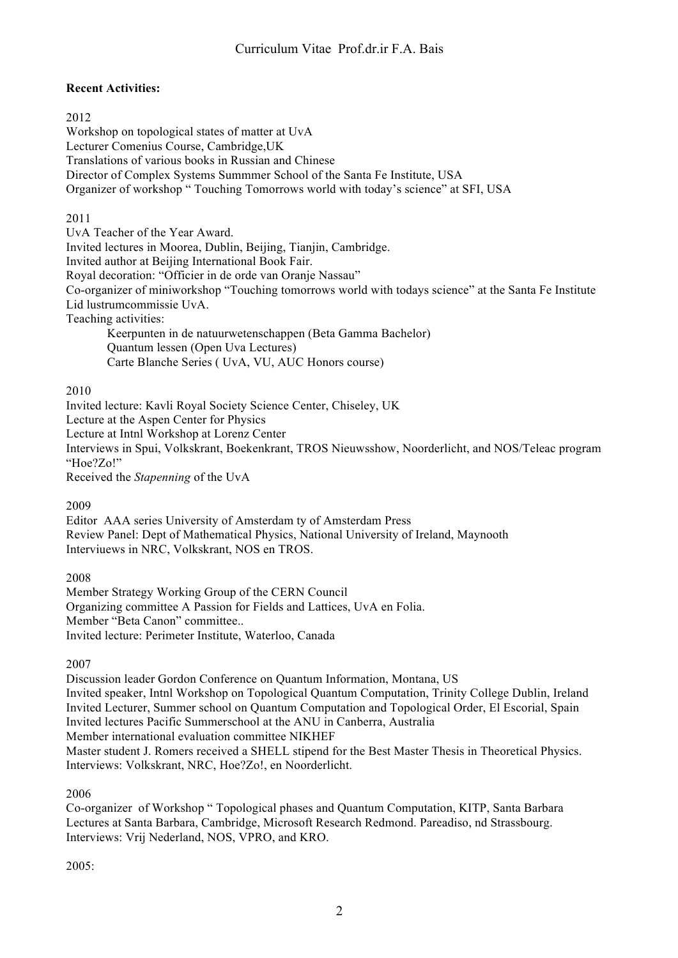# **Recent Activities:**

### 2012

Workshop on topological states of matter at UvA Lecturer Comenius Course, Cambridge,UK Translations of various books in Russian and Chinese Director of Complex Systems Summmer School of the Santa Fe Institute, USA Organizer of workshop " Touching Tomorrows world with today's science" at SFI, USA

# 2011

UvA Teacher of the Year Award. Invited lectures in Moorea, Dublin, Beijing, Tianjin, Cambridge. Invited author at Beijing International Book Fair. Royal decoration: "Officier in de orde van Oranje Nassau" Co-organizer of miniworkshop "Touching tomorrows world with todays science" at the Santa Fe Institute Lid lustrumcommissie UvA. Teaching activities: Keerpunten in de natuurwetenschappen (Beta Gamma Bachelor) Quantum lessen (Open Uva Lectures)

Carte Blanche Series ( UvA, VU, AUC Honors course)

### 2010

Invited lecture: Kavli Royal Society Science Center, Chiseley, UK Lecture at the Aspen Center for Physics Lecture at Intnl Workshop at Lorenz Center Interviews in Spui, Volkskrant, Boekenkrant, TROS Nieuwsshow, Noorderlicht, and NOS/Teleac program "Hoe?Zo!"

Received the *Stapenning* of the UvA

# 2009

Editor AAA series University of Amsterdam ty of Amsterdam Press Review Panel: Dept of Mathematical Physics, National University of Ireland, Maynooth Interviuews in NRC, Volkskrant, NOS en TROS.

2008

Member Strategy Working Group of the CERN Council Organizing committee A Passion for Fields and Lattices, UvA en Folia. Member "Beta Canon" committee.. Invited lecture: Perimeter Institute, Waterloo, Canada

2007

Discussion leader Gordon Conference on Quantum Information, Montana, US Invited speaker, Intnl Workshop on Topological Quantum Computation, Trinity College Dublin, Ireland Invited Lecturer, Summer school on Quantum Computation and Topological Order, El Escorial, Spain Invited lectures Pacific Summerschool at the ANU in Canberra, Australia Member international evaluation committee NIKHEF Master student J. Romers received a SHELL stipend for the Best Master Thesis in Theoretical Physics. Interviews: Volkskrant, NRC, Hoe?Zo!, en Noorderlicht.

2006

Co-organizer of Workshop " Topological phases and Quantum Computation, KITP, Santa Barbara Lectures at Santa Barbara, Cambridge, Microsoft Research Redmond. Pareadiso, nd Strassbourg. Interviews: Vrij Nederland, NOS, VPRO, and KRO.

2005: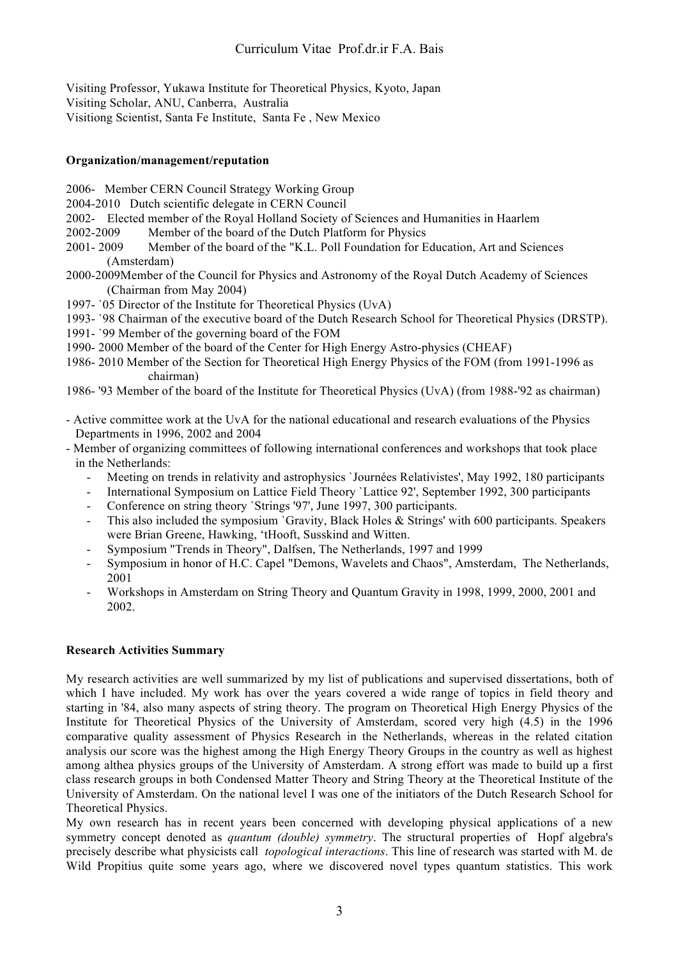Visiting Professor, Yukawa Institute for Theoretical Physics, Kyoto, Japan Visiting Scholar, ANU, Canberra, Australia Visitiong Scientist, Santa Fe Institute, Santa Fe , New Mexico

### **Organization/management/reputation**

- 2006- Member CERN Council Strategy Working Group
- 2004-2010 Dutch scientific delegate in CERN Council
- 2002- Elected member of the Royal Holland Society of Sciences and Humanities in Haarlem
- 2002-2009 Member of the board of the Dutch Platform for Physics
- 2001- 2009 Member of the board of the "K.L. Poll Foundation for Education, Art and Sciences (Amsterdam)
- 2000-2009Member of the Council for Physics and Astronomy of the Royal Dutch Academy of Sciences (Chairman from May 2004)
- 1997- `05 Director of the Institute for Theoretical Physics (UvA)
- 1993- `98 Chairman of the executive board of the Dutch Research School for Theoretical Physics (DRSTP).
- 1991- `99 Member of the governing board of the FOM
- 1990- 2000 Member of the board of the Center for High Energy Astro-physics (CHEAF)
- 1986- 2010 Member of the Section for Theoretical High Energy Physics of the FOM (from 1991-1996 as chairman)
- 1986- '93 Member of the board of the Institute for Theoretical Physics (UvA) (from 1988-'92 as chairman)
- Active committee work at the UvA for the national educational and research evaluations of the Physics Departments in 1996, 2002 and 2004
- Member of organizing committees of following international conferences and workshops that took place in the Netherlands:
	- Meeting on trends in relativity and astrophysics `Journées Relativistes', May 1992, 180 participants
	- International Symposium on Lattice Field Theory 'Lattice 92', September 1992, 300 participants
	- Conference on string theory `Strings '97', June 1997, 300 participants.
	- This also included the symposium `Gravity, Black Holes & Strings' with 600 participants. Speakers were Brian Greene, Hawking, 'tHooft, Susskind and Witten.
	- Symposium "Trends in Theory", Dalfsen, The Netherlands, 1997 and 1999
	- Symposium in honor of H.C. Capel "Demons, Wavelets and Chaos", Amsterdam, The Netherlands, 2001
	- Workshops in Amsterdam on String Theory and Quantum Gravity in 1998, 1999, 2000, 2001 and 2002.

# **Research Activities Summary**

My research activities are well summarized by my list of publications and supervised dissertations, both of which I have included. My work has over the years covered a wide range of topics in field theory and starting in '84, also many aspects of string theory. The program on Theoretical High Energy Physics of the Institute for Theoretical Physics of the University of Amsterdam, scored very high (4.5) in the 1996 comparative quality assessment of Physics Research in the Netherlands, whereas in the related citation analysis our score was the highest among the High Energy Theory Groups in the country as well as highest among althea physics groups of the University of Amsterdam. A strong effort was made to build up a first class research groups in both Condensed Matter Theory and String Theory at the Theoretical Institute of the University of Amsterdam. On the national level I was one of the initiators of the Dutch Research School for Theoretical Physics.

My own research has in recent years been concerned with developing physical applications of a new symmetry concept denoted as *quantum (double) symmetry*. The structural properties of Hopf algebra's precisely describe what physicists call *topological interactions*. This line of research was started with M. de Wild Propitius quite some years ago, where we discovered novel types quantum statistics. This work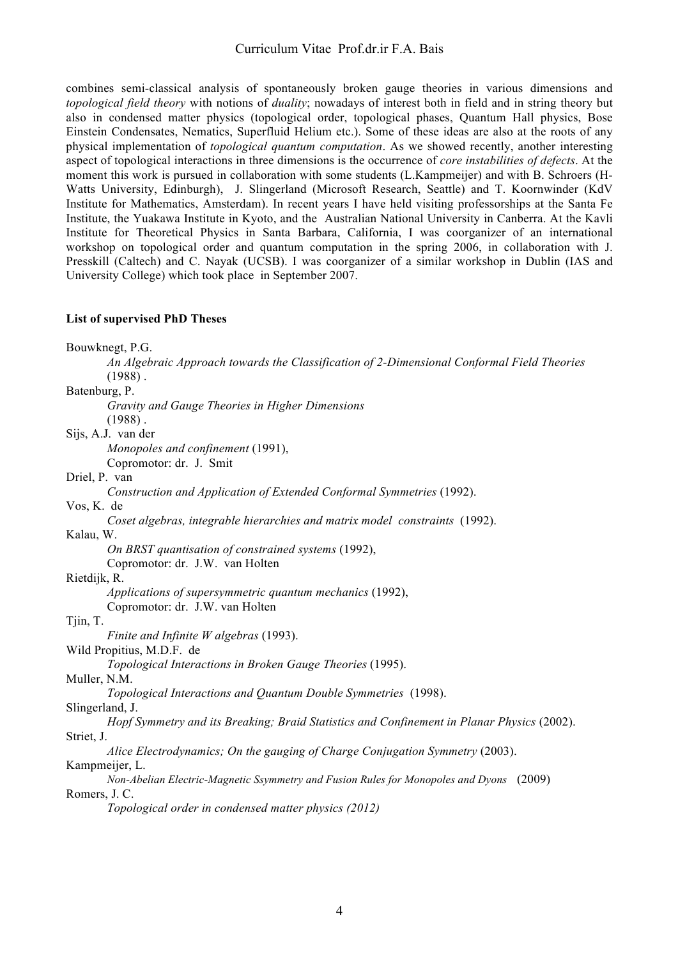combines semi-classical analysis of spontaneously broken gauge theories in various dimensions and *topological field theory* with notions of *duality*; nowadays of interest both in field and in string theory but also in condensed matter physics (topological order, topological phases, Quantum Hall physics, Bose Einstein Condensates, Nematics, Superfluid Helium etc.). Some of these ideas are also at the roots of any physical implementation of *topological quantum computation*. As we showed recently, another interesting aspect of topological interactions in three dimensions is the occurrence of *core instabilities of defects*. At the moment this work is pursued in collaboration with some students (L.Kampmeijer) and with B. Schroers (H-Watts University, Edinburgh), J. Slingerland (Microsoft Research, Seattle) and T. Koornwinder (KdV Institute for Mathematics, Amsterdam). In recent years I have held visiting professorships at the Santa Fe Institute, the Yuakawa Institute in Kyoto, and the Australian National University in Canberra. At the Kavli Institute for Theoretical Physics in Santa Barbara, California, I was coorganizer of an international workshop on topological order and quantum computation in the spring 2006, in collaboration with J. Presskill (Caltech) and C. Nayak (UCSB). I was coorganizer of a similar workshop in Dublin (IAS and University College) which took place in September 2007.

#### **List of supervised PhD Theses**

| Bouwknegt, P.G.                                                                            |
|--------------------------------------------------------------------------------------------|
| An Algebraic Approach towards the Classification of 2-Dimensional Conformal Field Theories |
| $(1988)$ .                                                                                 |
| Batenburg, P.                                                                              |
| Gravity and Gauge Theories in Higher Dimensions                                            |
| $(1988)$ .                                                                                 |
| Sijs, A.J. van der                                                                         |
| Monopoles and confinement (1991),                                                          |
| Copromotor: dr. J. Smit                                                                    |
| Driel, P. van                                                                              |
| Construction and Application of Extended Conformal Symmetries (1992).                      |
| Vos, K. de                                                                                 |
| Coset algebras, integrable hierarchies and matrix model constraints (1992).                |
| Kalau, W.                                                                                  |
| On BRST quantisation of constrained systems (1992),                                        |
| Copromotor: dr. J.W. van Holten                                                            |
| Rietdijk, R.                                                                               |
| Applications of supersymmetric quantum mechanics (1992),                                   |
| Copromotor: dr. J.W. van Holten                                                            |
| Tjin, T.                                                                                   |
| Finite and Infinite W algebras (1993).                                                     |
| Wild Propitius, M.D.F. de                                                                  |
| Topological Interactions in Broken Gauge Theories (1995).                                  |
| Muller, N.M.                                                                               |
| Topological Interactions and Quantum Double Symmetries (1998).                             |
| Slingerland, J.                                                                            |
| Hopf Symmetry and its Breaking; Braid Statistics and Confinement in Planar Physics (2002). |
| Striet, J.                                                                                 |
| Alice Electrodynamics; On the gauging of Charge Conjugation Symmetry (2003).               |
| Kampmeijer, L.                                                                             |
| Non-Abelian Electric-Magnetic Ssymmetry and Fusion Rules for Monopoles and Dyons (2009)    |
| Romers, J. C.                                                                              |
| Topological order in condensed matter physics (2012)                                       |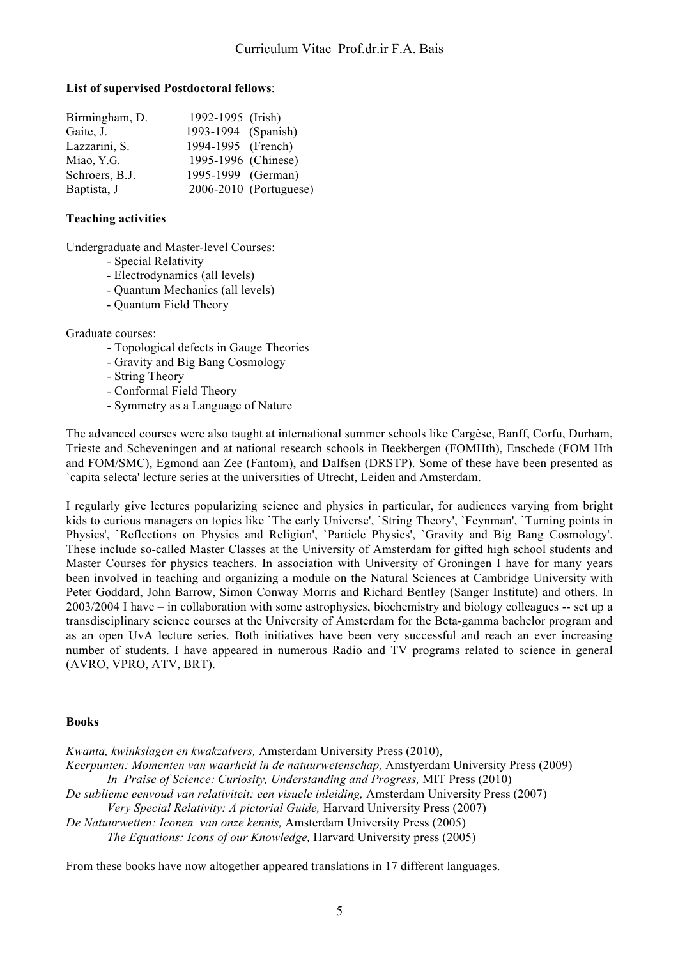### **List of supervised Postdoctoral fellows**:

| Birmingham, D. | 1992-1995 (Irish)   |                        |
|----------------|---------------------|------------------------|
| Gaite, J.      | 1993-1994 (Spanish) |                        |
| Lazzarini, S.  | 1994-1995 (French)  |                        |
| Miao, Y.G.     | 1995-1996 (Chinese) |                        |
| Schroers, B.J. | 1995-1999 (German)  |                        |
| Baptista, J    |                     | 2006-2010 (Portuguese) |

### **Teaching activities**

Undergraduate and Master-level Courses:

- Special Relativity
- Electrodynamics (all levels)
- Quantum Mechanics (all levels)
- Quantum Field Theory

Graduate courses:

- Topological defects in Gauge Theories
- Gravity and Big Bang Cosmology
- String Theory
- Conformal Field Theory
- Symmetry as a Language of Nature

The advanced courses were also taught at international summer schools like Cargèse, Banff, Corfu, Durham, Trieste and Scheveningen and at national research schools in Beekbergen (FOMHth), Enschede (FOM Hth and FOM/SMC), Egmond aan Zee (Fantom), and Dalfsen (DRSTP). Some of these have been presented as `capita selecta' lecture series at the universities of Utrecht, Leiden and Amsterdam.

I regularly give lectures popularizing science and physics in particular, for audiences varying from bright kids to curious managers on topics like `The early Universe', `String Theory', `Feynman', `Turning points in Physics', `Reflections on Physics and Religion', `Particle Physics', `Gravity and Big Bang Cosmology'. These include so-called Master Classes at the University of Amsterdam for gifted high school students and Master Courses for physics teachers. In association with University of Groningen I have for many years been involved in teaching and organizing a module on the Natural Sciences at Cambridge University with Peter Goddard, John Barrow, Simon Conway Morris and Richard Bentley (Sanger Institute) and others. In 2003/2004 I have – in collaboration with some astrophysics, biochemistry and biology colleagues -- set up a transdisciplinary science courses at the University of Amsterdam for the Beta-gamma bachelor program and as an open UvA lecture series. Both initiatives have been very successful and reach an ever increasing number of students. I have appeared in numerous Radio and TV programs related to science in general (AVRO, VPRO, ATV, BRT).

# **Books**

*Kwanta, kwinkslagen en kwakzalvers,* Amsterdam University Press (2010), *Keerpunten: Momenten van waarheid in de natuurwetenschap,* Amstyerdam University Press (2009) *In Praise of Science: Curiosity, Understanding and Progress,* MIT Press (2010) *De sublieme eenvoud van relativiteit: een visuele inleiding,* Amsterdam University Press (2007) *Very Special Relativity: A pictorial Guide,* Harvard University Press (2007) *De Natuurwetten: Iconen van onze kennis,* Amsterdam University Press (2005) *The Equations: Icons of our Knowledge,* Harvard University press (2005)

From these books have now altogether appeared translations in 17 different languages.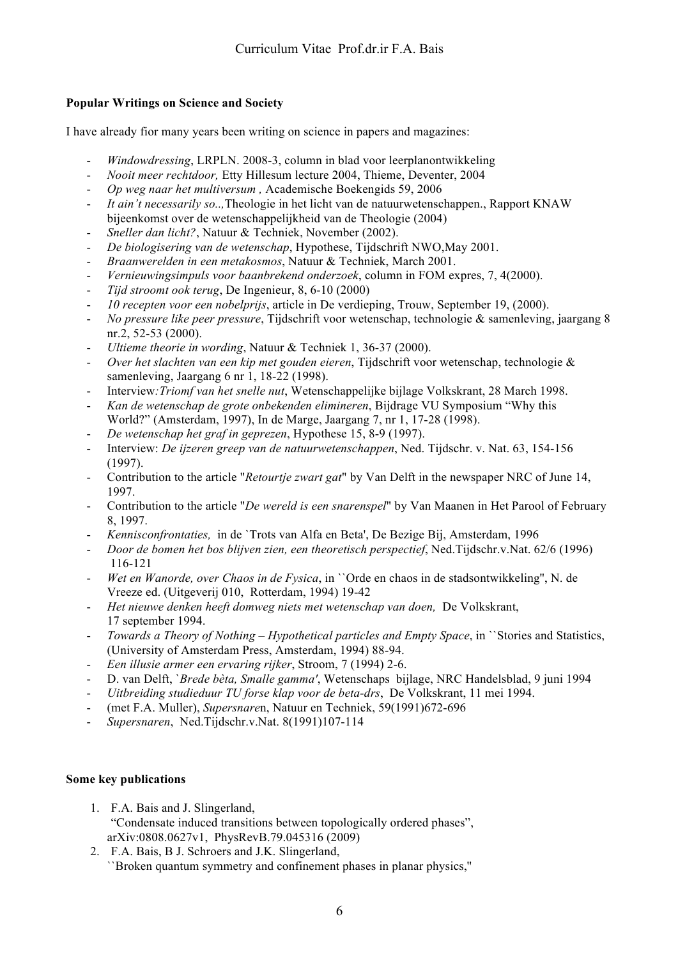# **Popular Writings on Science and Society**

I have already fior many years been writing on science in papers and magazines:

- *Windowdressing*, LRPLN. 2008-3, column in blad voor leerplanontwikkeling
- *Nooit meer rechtdoor,* Etty Hillesum lecture 2004, Thieme, Deventer, 2004
- *Op weg naar het multiversum ,* Academische Boekengids 59, 2006
- *It ain't necessarily so..,*Theologie in het licht van de natuurwetenschappen., Rapport KNAW bijeenkomst over de wetenschappelijkheid van de Theologie (2004)
- *Sneller dan licht?*, Natuur & Techniek, November (2002).
- *De biologisering van de wetenschap*, Hypothese, Tijdschrift NWO,May 2001.
- *Braanwerelden in een metakosmos*, Natuur & Techniek, March 2001.
- *Vernieuwingsimpuls voor baanbrekend onderzoek*, column in FOM expres, 7, 4(2000).
- *Tijd stroomt ook terug*, De Ingenieur, 8, 6-10 (2000)
- *10 recepten voor een nobelprijs*, article in De verdieping, Trouw, September 19, (2000).
- *No pressure like peer pressure*, Tijdschrift voor wetenschap, technologie & samenleving, jaargang 8 nr.2, 52-53 (2000).
- *Ultieme theorie in wording*, Natuur & Techniek 1, 36-37 (2000).
- *Over het slachten van een kip met gouden eieren*, Tijdschrift voor wetenschap, technologie & samenleving, Jaargang 6 nr 1, 18-22 (1998).
- Interview*:Triomf van het snelle nut*, Wetenschappelijke bijlage Volkskrant, 28 March 1998.
- *Kan de wetenschap de grote onbekenden elimineren*, Bijdrage VU Symposium "Why this World?" (Amsterdam, 1997), In de Marge, Jaargang 7, nr 1, 17-28 (1998).
- *De wetenschap het graf in geprezen*, Hypothese 15, 8-9 (1997).
- Interview: *De ijzeren greep van de natuurwetenschappen*, Ned. Tijdschr. v. Nat. 63, 154-156 (1997).
- Contribution to the article "*Retourtje zwart gat*" by Van Delft in the newspaper NRC of June 14, 1997.
- Contribution to the article "*De wereld is een snarenspel*" by Van Maanen in Het Parool of February 8, 1997.
- *Kennisconfrontaties,* in de `Trots van Alfa en Beta', De Bezige Bij, Amsterdam, 1996
- *Door de bomen het bos blijven zien, een theoretisch perspectief*, Ned.Tijdschr.v.Nat. 62/6 (1996) 116-121
- *Wet en Wanorde, over Chaos in de Fysica*, in ``Orde en chaos in de stadsontwikkeling'', N. de Vreeze ed. (Uitgeverij 010, Rotterdam, 1994) 19-42
- *Het nieuwe denken heeft domweg niets met wetenschap van doen,* De Volkskrant, 17 september 1994.
- *Towards a Theory of Nothing – Hypothetical particles and Empty Space*, in ``Stories and Statistics, (University of Amsterdam Press, Amsterdam, 1994) 88-94.
- *Een illusie armer een ervaring rijker*, Stroom, 7 (1994) 2-6.
- D. van Delft, `*Brede bèta, Smalle gamma'*, Wetenschaps bijlage, NRC Handelsblad, 9 juni 1994
- *Uitbreiding studieduur TU forse klap voor de beta-drs*, De Volkskrant, 11 mei 1994.
- (met F.A. Muller), *Supersnare*n, Natuur en Techniek, 59(1991)672-696
- *Supersnaren*, Ned.Tijdschr.v.Nat. 8(1991)107-114

# **Some key publications**

- 1. F.A. Bais and J. Slingerland, "Condensate induced transitions between topologically ordered phases", arXiv:0808.0627v1, PhysRevB.79.045316 (2009)
- 2. F.A. Bais, B J. Schroers and J.K. Slingerland, ``Broken quantum symmetry and confinement phases in planar physics,''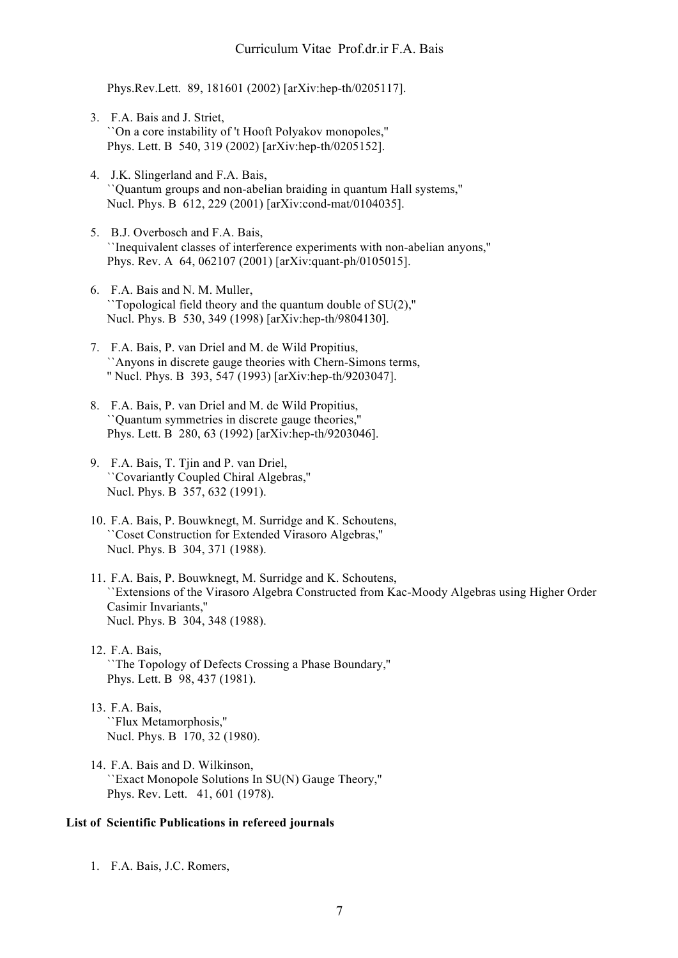Phys.Rev.Lett. 89, 181601 (2002) [arXiv:hep-th/0205117].

- 3. F.A. Bais and J. Striet, ``On a core instability of 't Hooft Polyakov monopoles,'' Phys. Lett. B 540, 319 (2002) [arXiv:hep-th/0205152].
- 4. J.K. Slingerland and F.A. Bais, ``Quantum groups and non-abelian braiding in quantum Hall systems,'' Nucl. Phys. B 612, 229 (2001) [arXiv:cond-mat/0104035].
- 5. B.J. Overbosch and F.A. Bais, ``Inequivalent classes of interference experiments with non-abelian anyons,'' Phys. Rev. A 64, 062107 (2001) [arXiv:quant-ph/0105015].
- 6. F.A. Bais and N. M. Muller, ``Topological field theory and the quantum double of SU(2),'' Nucl. Phys. B 530, 349 (1998) [arXiv:hep-th/9804130].
- 7. F.A. Bais, P. van Driel and M. de Wild Propitius, ``Anyons in discrete gauge theories with Chern-Simons terms, '' Nucl. Phys. B 393, 547 (1993) [arXiv:hep-th/9203047].
- 8. F.A. Bais, P. van Driel and M. de Wild Propitius, ``Quantum symmetries in discrete gauge theories,'' Phys. Lett. B 280, 63 (1992) [arXiv:hep-th/9203046].
- 9. F.A. Bais, T. Tjin and P. van Driel, ``Covariantly Coupled Chiral Algebras,'' Nucl. Phys. B 357, 632 (1991).
- 10. F.A. Bais, P. Bouwknegt, M. Surridge and K. Schoutens, ``Coset Construction for Extended Virasoro Algebras,'' Nucl. Phys. B 304, 371 (1988).
- 11. F.A. Bais, P. Bouwknegt, M. Surridge and K. Schoutens, ``Extensions of the Virasoro Algebra Constructed from Kac-Moody Algebras using Higher Order Casimir Invariants,'' Nucl. Phys. B 304, 348 (1988).
- 12. F.A. Bais, ``The Topology of Defects Crossing a Phase Boundary,'' Phys. Lett. B 98, 437 (1981).
- 13. F.A. Bais, ``Flux Metamorphosis,'' Nucl. Phys. B 170, 32 (1980).
- 14. F.A. Bais and D. Wilkinson, ``Exact Monopole Solutions In SU(N) Gauge Theory,'' Phys. Rev. Lett. 41, 601 (1978).

#### **List of Scientific Publications in refereed journals**

1. F.A. Bais, J.C. Romers,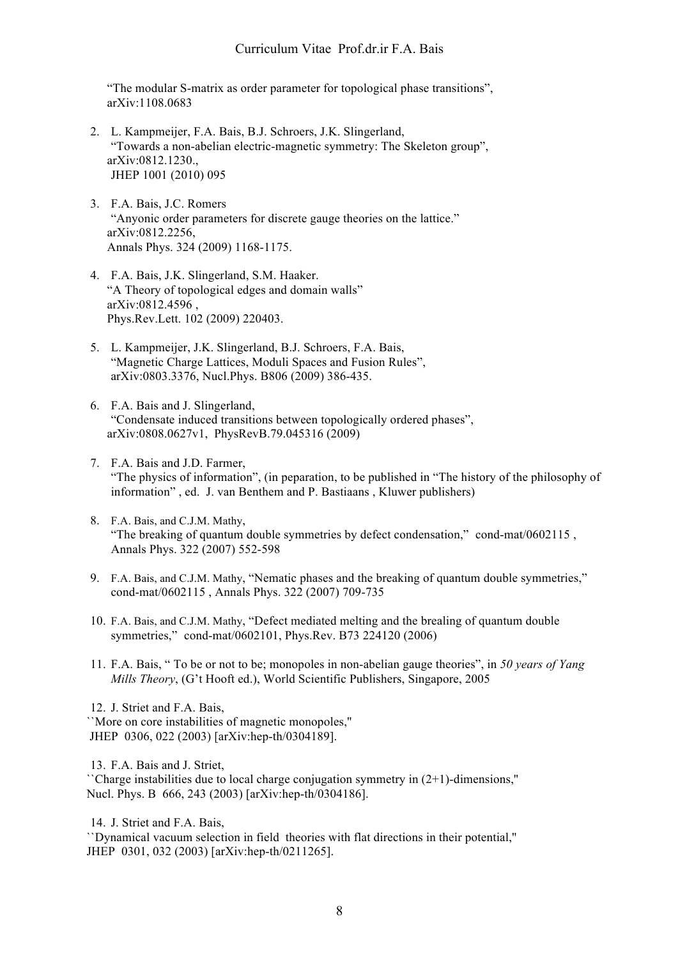"The modular S-matrix as order parameter for topological phase transitions", arXiv:1108.0683

- 2. L. Kampmeijer, F.A. Bais, B.J. Schroers, J.K. Slingerland, "Towards a non-abelian electric-magnetic symmetry: The Skeleton group", arXiv:0812.1230., JHEP 1001 (2010) 095
- 3. F.A. Bais, J.C. Romers "Anyonic order parameters for discrete gauge theories on the lattice." arXiv:0812.2256, Annals Phys. 324 (2009) 1168-1175.
- 4. F.A. Bais, J.K. Slingerland, S.M. Haaker. "A Theory of topological edges and domain walls" arXiv:0812.4596 , Phys.Rev.Lett. 102 (2009) 220403.
- 5. L. Kampmeijer, J.K. Slingerland, B.J. Schroers, F.A. Bais, "Magnetic Charge Lattices, Moduli Spaces and Fusion Rules", arXiv:0803.3376, Nucl.Phys. B806 (2009) 386-435.
- 6. F.A. Bais and J. Slingerland, "Condensate induced transitions between topologically ordered phases", arXiv:0808.0627v1, PhysRevB.79.045316 (2009)
- 7. F.A. Bais and J.D. Farmer, "The physics of information", (in peparation, to be published in "The history of the philosophy of information" , ed. J. van Benthem and P. Bastiaans , Kluwer publishers)
- 8. F.A. Bais, and C.J.M. Mathy, "The breaking of quantum double symmetries by defect condensation," cond-mat/0602115 , Annals Phys. 322 (2007) 552-598
- 9. F.A. Bais, and C.J.M. Mathy, "Nematic phases and the breaking of quantum double symmetries," cond-mat/0602115 , Annals Phys. 322 (2007) 709-735
- 10. F.A. Bais, and C.J.M. Mathy, "Defect mediated melting and the brealing of quantum double symmetries," cond-mat/0602101, Phys.Rev. B73 224120 (2006)
- 11. F.A. Bais, " To be or not to be; monopoles in non-abelian gauge theories", in *50 years of Yang Mills Theory*, (G't Hooft ed.), World Scientific Publishers, Singapore, 2005

``More on core instabilities of magnetic monopoles,'' JHEP 0306, 022 (2003) [arXiv:hep-th/0304189].

13. F.A. Bais and J. Striet,

``Charge instabilities due to local charge conjugation symmetry in (2+1)-dimensions,'' Nucl. Phys. B 666, 243 (2003) [arXiv:hep-th/0304186].

14. J. Striet and F.A. Bais,

``Dynamical vacuum selection in field theories with flat directions in their potential,'' JHEP 0301, 032 (2003) [arXiv:hep-th/0211265].

<sup>12.</sup> J. Striet and F.A. Bais,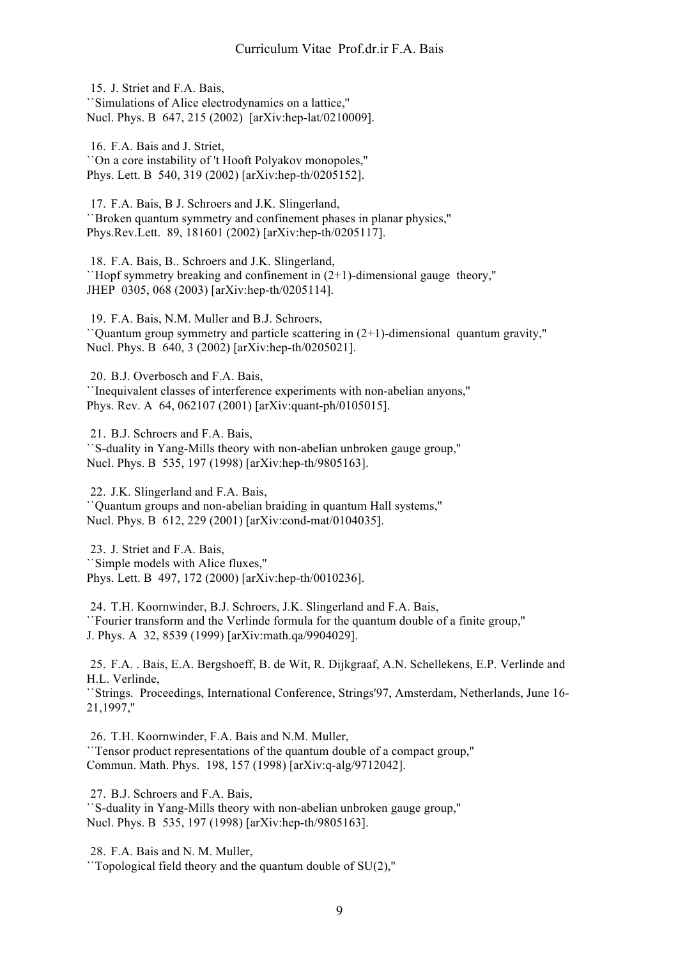15. J. Striet and F.A. Bais, ``Simulations of Alice electrodynamics on a lattice,'' Nucl. Phys. B 647, 215 (2002) [arXiv:hep-lat/0210009].

16. F.A. Bais and J. Striet, ``On a core instability of 't Hooft Polyakov monopoles,'' Phys. Lett. B 540, 319 (2002) [arXiv:hep-th/0205152].

17. F.A. Bais, B J. Schroers and J.K. Slingerland, ``Broken quantum symmetry and confinement phases in planar physics,'' Phys.Rev.Lett. 89, 181601 (2002) [arXiv:hep-th/0205117].

18. F.A. Bais, B.. Schroers and J.K. Slingerland, ``Hopf symmetry breaking and confinement in (2+1)-dimensional gauge theory,'' JHEP 0305, 068 (2003) [arXiv:hep-th/0205114].

19. F.A. Bais, N.M. Muller and B.J. Schroers, ``Quantum group symmetry and particle scattering in (2+1)-dimensional quantum gravity,'' Nucl. Phys. B 640, 3 (2002) [arXiv:hep-th/0205021].

20. B.J. Overbosch and F.A. Bais,

``Inequivalent classes of interference experiments with non-abelian anyons,'' Phys. Rev. A 64, 062107 (2001) [arXiv:quant-ph/0105015].

21. B.J. Schroers and F.A. Bais, ``S-duality in Yang-Mills theory with non-abelian unbroken gauge group,'' Nucl. Phys. B 535, 197 (1998) [arXiv:hep-th/9805163].

22. J.K. Slingerland and F.A. Bais, ``Quantum groups and non-abelian braiding in quantum Hall systems,'' Nucl. Phys. B 612, 229 (2001) [arXiv:cond-mat/0104035].

23. J. Striet and F.A. Bais, ``Simple models with Alice fluxes,'' Phys. Lett. B 497, 172 (2000) [arXiv:hep-th/0010236].

24. T.H. Koornwinder, B.J. Schroers, J.K. Slingerland and F.A. Bais, ``Fourier transform and the Verlinde formula for the quantum double of a finite group,'' J. Phys. A 32, 8539 (1999) [arXiv:math.qa/9904029].

25. F.A. . Bais, E.A. Bergshoeff, B. de Wit, R. Dijkgraaf, A.N. Schellekens, E.P. Verlinde and H.L. Verlinde,

``Strings. Proceedings, International Conference, Strings'97, Amsterdam, Netherlands, June 16- 21,1997,''

26. T.H. Koornwinder, F.A. Bais and N.M. Muller, ``Tensor product representations of the quantum double of a compact group,'' Commun. Math. Phys. 198, 157 (1998) [arXiv:q-alg/9712042].

27. B.J. Schroers and F.A. Bais, ``S-duality in Yang-Mills theory with non-abelian unbroken gauge group,'' Nucl. Phys. B 535, 197 (1998) [arXiv:hep-th/9805163].

28. F.A. Bais and N. M. Muller,

 $\Gamma$ Topological field theory and the quantum double of SU(2),"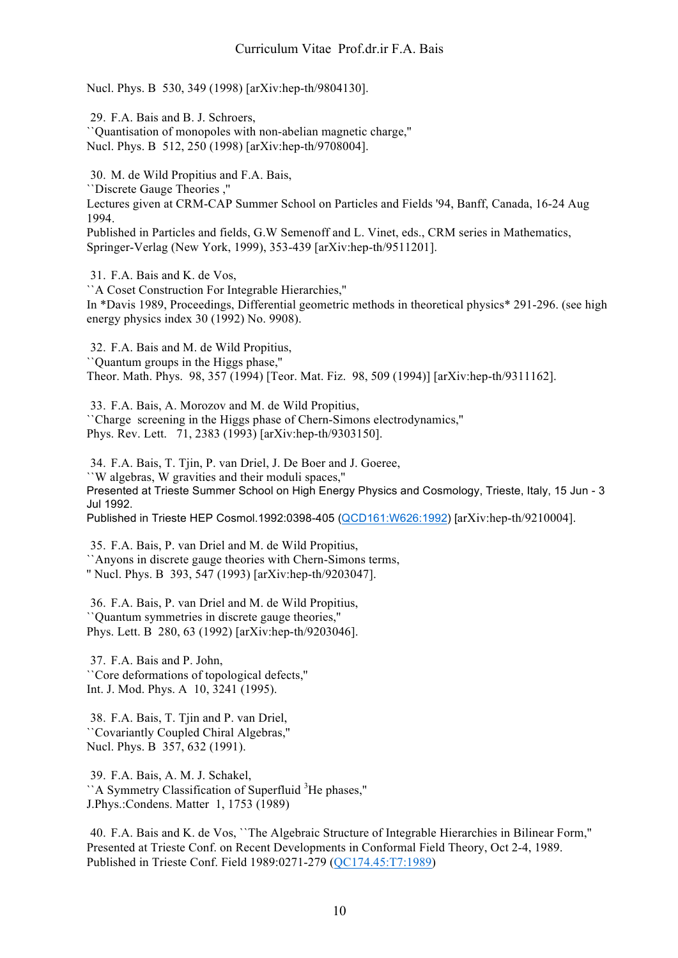Nucl. Phys. B 530, 349 (1998) [arXiv:hep-th/9804130].

29. F.A. Bais and B. J. Schroers, ``Quantisation of monopoles with non-abelian magnetic charge,'' Nucl. Phys. B 512, 250 (1998) [arXiv:hep-th/9708004].

30. M. de Wild Propitius and F.A. Bais, ``Discrete Gauge Theories ,''

Lectures given at CRM-CAP Summer School on Particles and Fields '94, Banff, Canada, 16-24 Aug 1994.

Published in Particles and fields, G.W Semenoff and L. Vinet, eds., CRM series in Mathematics, Springer-Verlag (New York, 1999), 353-439 [arXiv:hep-th/9511201].

31. F.A. Bais and K. de Vos,

``A Coset Construction For Integrable Hierarchies,'' In \*Davis 1989, Proceedings, Differential geometric methods in theoretical physics\* 291-296. (see high energy physics index 30 (1992) No. 9908).

32. F.A. Bais and M. de Wild Propitius, ``Quantum groups in the Higgs phase,'' Theor. Math. Phys. 98, 357 (1994) [Teor. Mat. Fiz. 98, 509 (1994)] [arXiv:hep-th/9311162].

33. F.A. Bais, A. Morozov and M. de Wild Propitius, ``Charge screening in the Higgs phase of Chern-Simons electrodynamics,'' Phys. Rev. Lett. 71, 2383 (1993) [arXiv:hep-th/9303150].

34. F.A. Bais, T. Tjin, P. van Driel, J. De Boer and J. Goeree, ``W algebras, W gravities and their moduli spaces,'' Presented at Trieste Summer School on High Energy Physics and Cosmology, Trieste, Italy, 15 Jun - 3 Jul 1992.

Published in Trieste HEP Cosmol.1992:0398-405 (QCD161:W626:1992) [arXiv:hep-th/9210004].

35. F.A. Bais, P. van Driel and M. de Wild Propitius, ``Anyons in discrete gauge theories with Chern-Simons terms, '' Nucl. Phys. B 393, 547 (1993) [arXiv:hep-th/9203047].

36. F.A. Bais, P. van Driel and M. de Wild Propitius, ``Quantum symmetries in discrete gauge theories,'' Phys. Lett. B 280, 63 (1992) [arXiv:hep-th/9203046].

37. F.A. Bais and P. John, ``Core deformations of topological defects,'' Int. J. Mod. Phys. A 10, 3241 (1995).

38. F.A. Bais, T. Tjin and P. van Driel, ``Covariantly Coupled Chiral Algebras,'' Nucl. Phys. B 357, 632 (1991).

39. F.A. Bais, A. M. J. Schakel, "A Symmetry Classification of Superfluid <sup>3</sup>He phases," J.Phys.:Condens. Matter 1, 1753 (1989)

40. F.A. Bais and K. de Vos, ``The Algebraic Structure of Integrable Hierarchies in Bilinear Form,'' Presented at Trieste Conf. on Recent Developments in Conformal Field Theory, Oct 2-4, 1989. Published in Trieste Conf. Field 1989:0271-279 (QC174.45:T7:1989)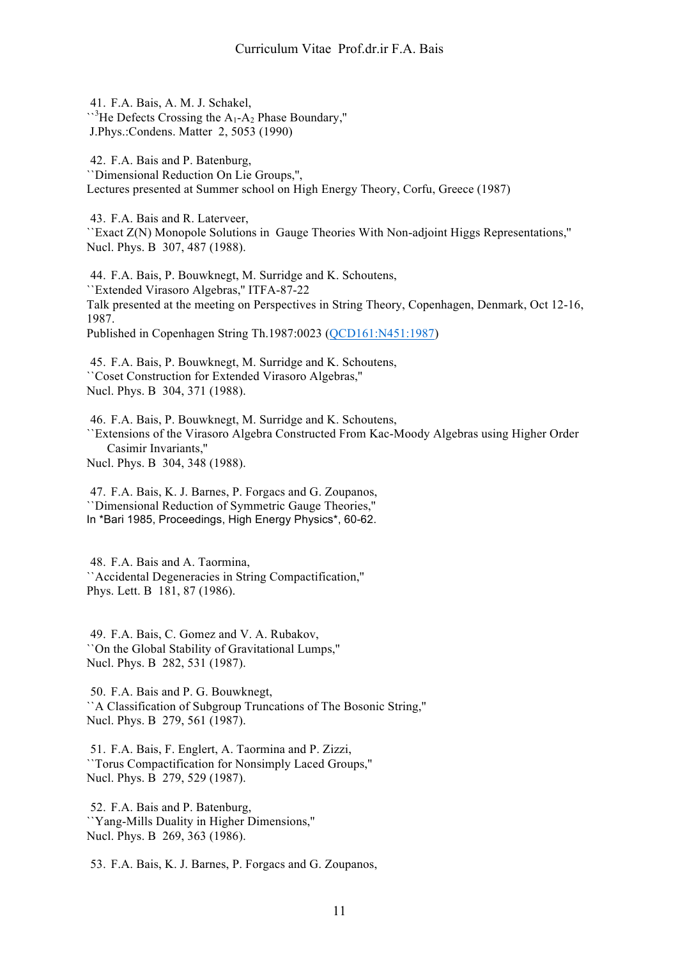41. F.A. Bais, A. M. J. Schakel,  $\mathbb{R}^3$ He Defects Crossing the A<sub>1</sub>-A<sub>2</sub> Phase Boundary," J.Phys.:Condens. Matter 2, 5053 (1990)

42. F.A. Bais and P. Batenburg, ``Dimensional Reduction On Lie Groups,'', Lectures presented at Summer school on High Energy Theory, Corfu, Greece (1987)

43. F.A. Bais and R. Laterveer, ``Exact Z(N) Monopole Solutions in Gauge Theories With Non-adjoint Higgs Representations,'' Nucl. Phys. B 307, 487 (1988).

44. F.A. Bais, P. Bouwknegt, M. Surridge and K. Schoutens, ``Extended Virasoro Algebras,'' ITFA-87-22 Talk presented at the meeting on Perspectives in String Theory, Copenhagen, Denmark, Oct 12-16, 1987. Published in Copenhagen String Th.1987:0023 (QCD161:N451:1987)

45. F.A. Bais, P. Bouwknegt, M. Surridge and K. Schoutens, ``Coset Construction for Extended Virasoro Algebras,'' Nucl. Phys. B 304, 371 (1988).

46. F.A. Bais, P. Bouwknegt, M. Surridge and K. Schoutens, ``Extensions of the Virasoro Algebra Constructed From Kac-Moody Algebras using Higher Order Casimir Invariants,'' Nucl. Phys. B 304, 348 (1988).

47. F.A. Bais, K. J. Barnes, P. Forgacs and G. Zoupanos, ``Dimensional Reduction of Symmetric Gauge Theories,'' In \*Bari 1985, Proceedings, High Energy Physics\*, 60-62.

48. F.A. Bais and A. Taormina, ``Accidental Degeneracies in String Compactification,'' Phys. Lett. B 181, 87 (1986).

49. F.A. Bais, C. Gomez and V. A. Rubakov, ``On the Global Stability of Gravitational Lumps,'' Nucl. Phys. B 282, 531 (1987).

50. F.A. Bais and P. G. Bouwknegt, ``A Classification of Subgroup Truncations of The Bosonic String,'' Nucl. Phys. B 279, 561 (1987).

51. F.A. Bais, F. Englert, A. Taormina and P. Zizzi, ``Torus Compactification for Nonsimply Laced Groups,'' Nucl. Phys. B 279, 529 (1987).

52. F.A. Bais and P. Batenburg, ``Yang-Mills Duality in Higher Dimensions,'' Nucl. Phys. B 269, 363 (1986).

53. F.A. Bais, K. J. Barnes, P. Forgacs and G. Zoupanos,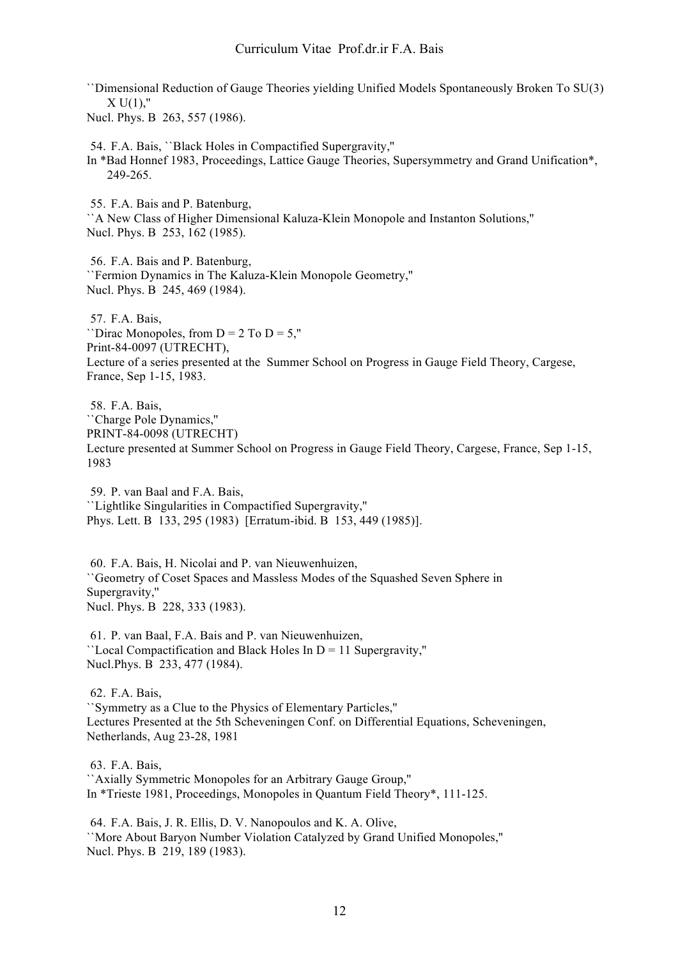``Dimensional Reduction of Gauge Theories yielding Unified Models Spontaneously Broken To SU(3)  $X U(1)$ ,"

Nucl. Phys. B 263, 557 (1986).

54. F.A. Bais, ``Black Holes in Compactified Supergravity,''

In \*Bad Honnef 1983, Proceedings, Lattice Gauge Theories, Supersymmetry and Grand Unification\*, 249-265.

55. F.A. Bais and P. Batenburg,

``A New Class of Higher Dimensional Kaluza-Klein Monopole and Instanton Solutions,'' Nucl. Phys. B 253, 162 (1985).

56. F.A. Bais and P. Batenburg, ``Fermion Dynamics in The Kaluza-Klein Monopole Geometry,'' Nucl. Phys. B 245, 469 (1984).

57. F.A. Bais, ``Dirac Monopoles, from  $D = 2$  To  $D = 5$ ," Print-84-0097 (UTRECHT), Lecture of a series presented at the Summer School on Progress in Gauge Field Theory, Cargese, France, Sep 1-15, 1983.

58. F.A. Bais, ``Charge Pole Dynamics,'' PRINT-84-0098 (UTRECHT) Lecture presented at Summer School on Progress in Gauge Field Theory, Cargese, France, Sep 1-15, 1983

59. P. van Baal and F.A. Bais, ``Lightlike Singularities in Compactified Supergravity,'' Phys. Lett. B 133, 295 (1983) [Erratum-ibid. B 153, 449 (1985)].

60. F.A. Bais, H. Nicolai and P. van Nieuwenhuizen, ``Geometry of Coset Spaces and Massless Modes of the Squashed Seven Sphere in Supergravity,'' Nucl. Phys. B 228, 333 (1983).

61. P. van Baal, F.A. Bais and P. van Nieuwenhuizen, ``Local Compactification and Black Holes In D = 11 Supergravity,'' Nucl.Phys. B 233, 477 (1984).

62. F.A. Bais, ``Symmetry as a Clue to the Physics of Elementary Particles,'' Lectures Presented at the 5th Scheveningen Conf. on Differential Equations, Scheveningen, Netherlands, Aug 23-28, 1981

63. F.A. Bais,

``Axially Symmetric Monopoles for an Arbitrary Gauge Group,'' In \*Trieste 1981, Proceedings, Monopoles in Quantum Field Theory\*, 111-125.

64. F.A. Bais, J. R. Ellis, D. V. Nanopoulos and K. A. Olive, ``More About Baryon Number Violation Catalyzed by Grand Unified Monopoles,'' Nucl. Phys. B 219, 189 (1983).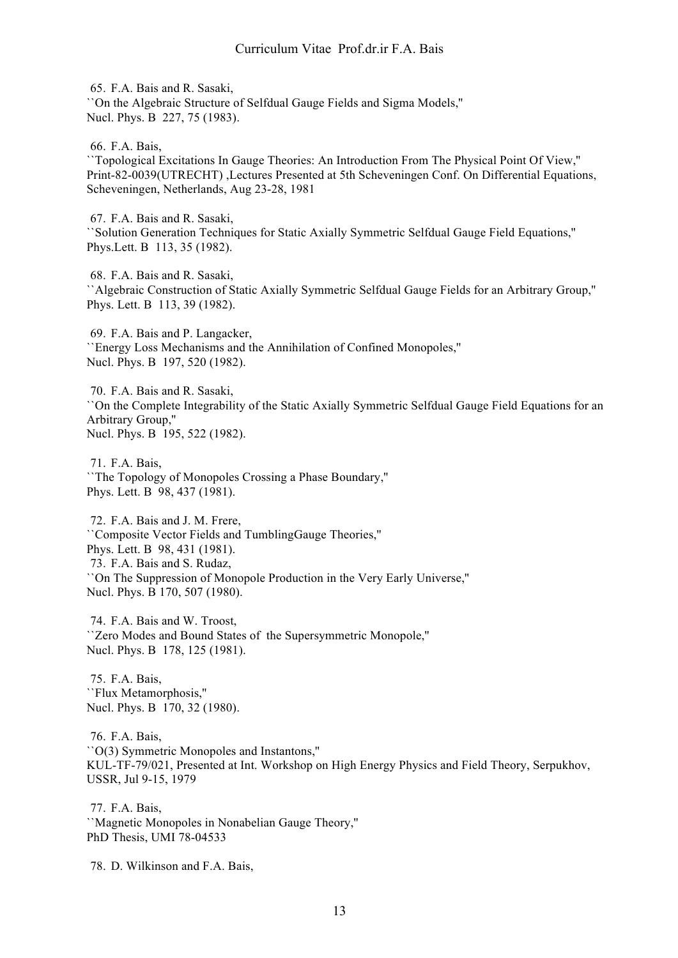65. F.A. Bais and R. Sasaki, ``On the Algebraic Structure of Selfdual Gauge Fields and Sigma Models,'' Nucl. Phys. B 227, 75 (1983).

66. F.A. Bais,

``Topological Excitations In Gauge Theories: An Introduction From The Physical Point Of View,'' Print-82-0039(UTRECHT) ,Lectures Presented at 5th Scheveningen Conf. On Differential Equations, Scheveningen, Netherlands, Aug 23-28, 1981

67. F.A. Bais and R. Sasaki, ``Solution Generation Techniques for Static Axially Symmetric Selfdual Gauge Field Equations,'' Phys.Lett. B 113, 35 (1982).

68. F.A. Bais and R. Sasaki, ``Algebraic Construction of Static Axially Symmetric Selfdual Gauge Fields for an Arbitrary Group,'' Phys. Lett. B 113, 39 (1982).

69. F.A. Bais and P. Langacker, ``Energy Loss Mechanisms and the Annihilation of Confined Monopoles,'' Nucl. Phys. B 197, 520 (1982).

70. F.A. Bais and R. Sasaki, ``On the Complete Integrability of the Static Axially Symmetric Selfdual Gauge Field Equations for an Arbitrary Group,'' Nucl. Phys. B 195, 522 (1982).

71. F.A. Bais, ``The Topology of Monopoles Crossing a Phase Boundary,'' Phys. Lett. B 98, 437 (1981).

72. F.A. Bais and J. M. Frere, ``Composite Vector Fields and TumblingGauge Theories,'' Phys. Lett. B 98, 431 (1981). 73. F.A. Bais and S. Rudaz, ``On The Suppression of Monopole Production in the Very Early Universe,'' Nucl. Phys. B 170, 507 (1980).

74. F.A. Bais and W. Troost, ``Zero Modes and Bound States of the Supersymmetric Monopole,'' Nucl. Phys. B 178, 125 (1981).

75. F.A. Bais, ``Flux Metamorphosis,'' Nucl. Phys. B 170, 32 (1980).

76. F.A. Bais, ``O(3) Symmetric Monopoles and Instantons,'' KUL-TF-79/021, Presented at Int. Workshop on High Energy Physics and Field Theory, Serpukhov, USSR, Jul 9-15, 1979

77. F.A. Bais, ``Magnetic Monopoles in Nonabelian Gauge Theory,'' PhD Thesis, UMI 78-04533

78. D. Wilkinson and F.A. Bais,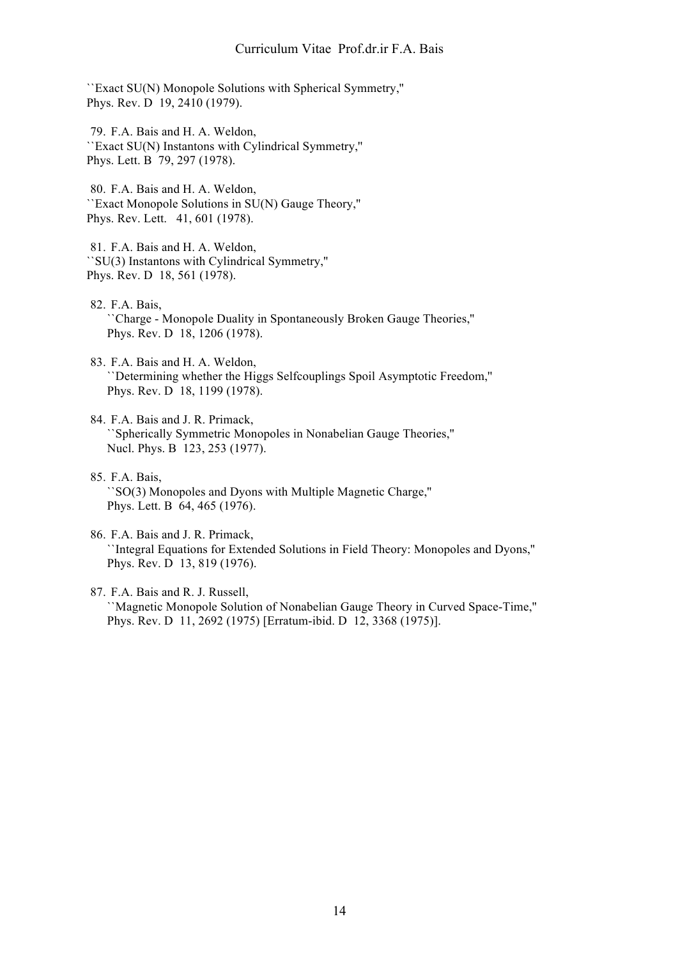``Exact SU(N) Monopole Solutions with Spherical Symmetry,'' Phys. Rev. D 19, 2410 (1979).

79. F.A. Bais and H. A. Weldon, ``Exact SU(N) Instantons with Cylindrical Symmetry,'' Phys. Lett. B 79, 297 (1978).

80. F.A. Bais and H. A. Weldon, ``Exact Monopole Solutions in SU(N) Gauge Theory,'' Phys. Rev. Lett. 41, 601 (1978).

81. F.A. Bais and H. A. Weldon, ``SU(3) Instantons with Cylindrical Symmetry,'' Phys. Rev. D 18, 561 (1978).

- 82. F.A. Bais, ``Charge - Monopole Duality in Spontaneously Broken Gauge Theories,'' Phys. Rev. D 18, 1206 (1978).
- 83. F.A. Bais and H. A. Weldon, ``Determining whether the Higgs Selfcouplings Spoil Asymptotic Freedom,'' Phys. Rev. D 18, 1199 (1978).
- 84. F.A. Bais and J. R. Primack, ``Spherically Symmetric Monopoles in Nonabelian Gauge Theories,'' Nucl. Phys. B 123, 253 (1977).
- 85. F.A. Bais, ``SO(3) Monopoles and Dyons with Multiple Magnetic Charge,'' Phys. Lett. B 64, 465 (1976).
- 86. F.A. Bais and J. R. Primack, ``Integral Equations for Extended Solutions in Field Theory: Monopoles and Dyons,'' Phys. Rev. D 13, 819 (1976).
- 87. F.A. Bais and R. J. Russell, ``Magnetic Monopole Solution of Nonabelian Gauge Theory in Curved Space-Time,'' Phys. Rev. D 11, 2692 (1975) [Erratum-ibid. D 12, 3368 (1975)].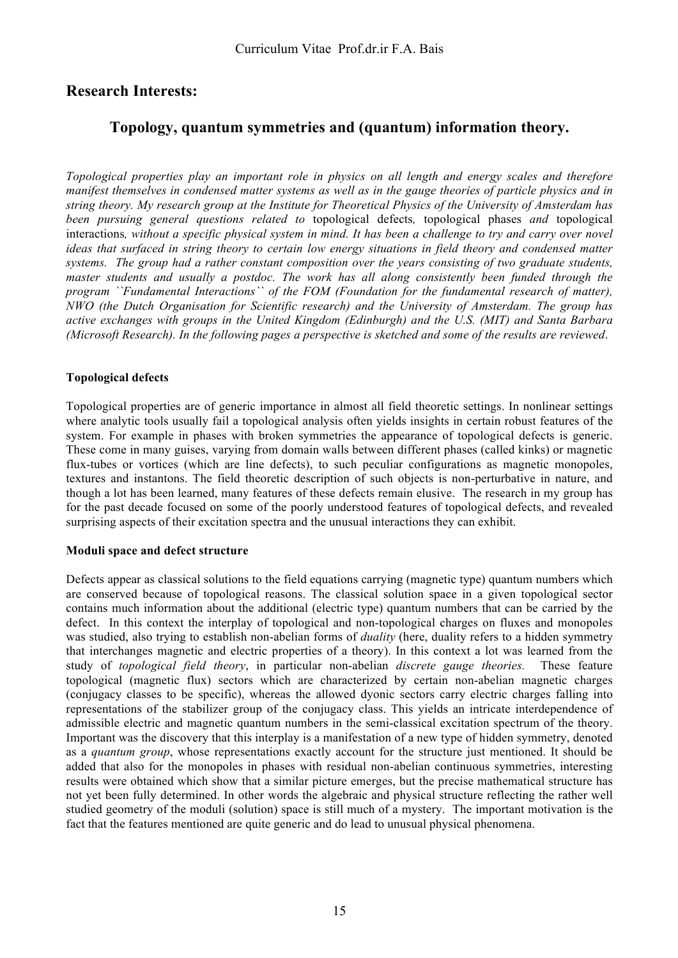# **Research Interests:**

# **Topology, quantum symmetries and (quantum) information theory.**

*Topological properties play an important role in physics on all length and energy scales and therefore manifest themselves in condensed matter systems as well as in the gauge theories of particle physics and in string theory. My research group at the Institute for Theoretical Physics of the University of Amsterdam has been pursuing general questions related to* topological defects*,* topological phases *and* topological interactions*, without a specific physical system in mind. It has been a challenge to try and carry over novel ideas that surfaced in string theory to certain low energy situations in field theory and condensed matter systems. The group had a rather constant composition over the years consisting of two graduate students, master students and usually a postdoc. The work has all along consistently been funded through the program ``Fundamental Interactions`` of the FOM (Foundation for the fundamental research of matter), NWO (the Dutch Organisation for Scientific research) and the University of Amsterdam. The group has active exchanges with groups in the United Kingdom (Edinburgh) and the U.S. (MIT) and Santa Barbara (Microsoft Research). In the following pages a perspective is sketched and some of the results are reviewed*.

# **Topological defects**

Topological properties are of generic importance in almost all field theoretic settings. In nonlinear settings where analytic tools usually fail a topological analysis often yields insights in certain robust features of the system. For example in phases with broken symmetries the appearance of topological defects is generic. These come in many guises, varying from domain walls between different phases (called kinks) or magnetic flux-tubes or vortices (which are line defects), to such peculiar configurations as magnetic monopoles, textures and instantons. The field theoretic description of such objects is non-perturbative in nature, and though a lot has been learned, many features of these defects remain elusive. The research in my group has for the past decade focused on some of the poorly understood features of topological defects, and revealed surprising aspects of their excitation spectra and the unusual interactions they can exhibit.

#### **Moduli space and defect structure**

Defects appear as classical solutions to the field equations carrying (magnetic type) quantum numbers which are conserved because of topological reasons. The classical solution space in a given topological sector contains much information about the additional (electric type) quantum numbers that can be carried by the defect. In this context the interplay of topological and non-topological charges on fluxes and monopoles was studied, also trying to establish non-abelian forms of *duality* (here, duality refers to a hidden symmetry that interchanges magnetic and electric properties of a theory). In this context a lot was learned from the study of *topological field theory*, in particular non-abelian *discrete gauge theories.* These feature topological (magnetic flux) sectors which are characterized by certain non-abelian magnetic charges (conjugacy classes to be specific), whereas the allowed dyonic sectors carry electric charges falling into representations of the stabilizer group of the conjugacy class. This yields an intricate interdependence of admissible electric and magnetic quantum numbers in the semi-classical excitation spectrum of the theory. Important was the discovery that this interplay is a manifestation of a new type of hidden symmetry, denoted as a *quantum group*, whose representations exactly account for the structure just mentioned. It should be added that also for the monopoles in phases with residual non-abelian continuous symmetries, interesting results were obtained which show that a similar picture emerges, but the precise mathematical structure has not yet been fully determined. In other words the algebraic and physical structure reflecting the rather well studied geometry of the moduli (solution) space is still much of a mystery. The important motivation is the fact that the features mentioned are quite generic and do lead to unusual physical phenomena.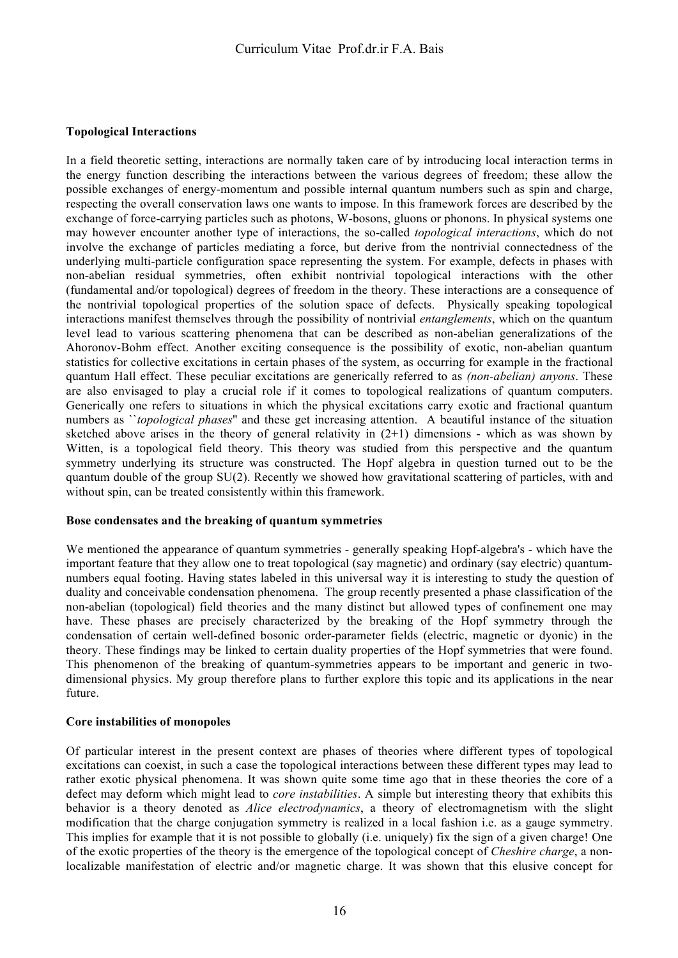### **Topological Interactions**

In a field theoretic setting, interactions are normally taken care of by introducing local interaction terms in the energy function describing the interactions between the various degrees of freedom; these allow the possible exchanges of energy-momentum and possible internal quantum numbers such as spin and charge, respecting the overall conservation laws one wants to impose. In this framework forces are described by the exchange of force-carrying particles such as photons, W-bosons, gluons or phonons. In physical systems one may however encounter another type of interactions, the so-called *topological interactions*, which do not involve the exchange of particles mediating a force, but derive from the nontrivial connectedness of the underlying multi-particle configuration space representing the system. For example, defects in phases with non-abelian residual symmetries, often exhibit nontrivial topological interactions with the other (fundamental and/or topological) degrees of freedom in the theory. These interactions are a consequence of the nontrivial topological properties of the solution space of defects. Physically speaking topological interactions manifest themselves through the possibility of nontrivial *entanglements*, which on the quantum level lead to various scattering phenomena that can be described as non-abelian generalizations of the Ahoronov-Bohm effect. Another exciting consequence is the possibility of exotic, non-abelian quantum statistics for collective excitations in certain phases of the system, as occurring for example in the fractional quantum Hall effect. These peculiar excitations are generically referred to as *(non-abelian) anyons*. These are also envisaged to play a crucial role if it comes to topological realizations of quantum computers. Generically one refers to situations in which the physical excitations carry exotic and fractional quantum numbers as ``*topological phases*'' and these get increasing attention. A beautiful instance of the situation sketched above arises in the theory of general relativity in  $(2+1)$  dimensions - which as was shown by Witten, is a topological field theory. This theory was studied from this perspective and the quantum symmetry underlying its structure was constructed. The Hopf algebra in question turned out to be the quantum double of the group SU(2). Recently we showed how gravitational scattering of particles, with and without spin, can be treated consistently within this framework.

#### **Bose condensates and the breaking of quantum symmetries**

We mentioned the appearance of quantum symmetries - generally speaking Hopf-algebra's - which have the important feature that they allow one to treat topological (say magnetic) and ordinary (say electric) quantumnumbers equal footing. Having states labeled in this universal way it is interesting to study the question of duality and conceivable condensation phenomena. The group recently presented a phase classification of the non-abelian (topological) field theories and the many distinct but allowed types of confinement one may have. These phases are precisely characterized by the breaking of the Hopf symmetry through the condensation of certain well-defined bosonic order-parameter fields (electric, magnetic or dyonic) in the theory. These findings may be linked to certain duality properties of the Hopf symmetries that were found. This phenomenon of the breaking of quantum-symmetries appears to be important and generic in twodimensional physics. My group therefore plans to further explore this topic and its applications in the near future.

#### **Core instabilities of monopoles**

Of particular interest in the present context are phases of theories where different types of topological excitations can coexist, in such a case the topological interactions between these different types may lead to rather exotic physical phenomena. It was shown quite some time ago that in these theories the core of a defect may deform which might lead to *core instabilities*. A simple but interesting theory that exhibits this behavior is a theory denoted as *Alice electrodynamics*, a theory of electromagnetism with the slight modification that the charge conjugation symmetry is realized in a local fashion i.e. as a gauge symmetry. This implies for example that it is not possible to globally (i.e. uniquely) fix the sign of a given charge! One of the exotic properties of the theory is the emergence of the topological concept of *Cheshire charge*, a nonlocalizable manifestation of electric and/or magnetic charge. It was shown that this elusive concept for